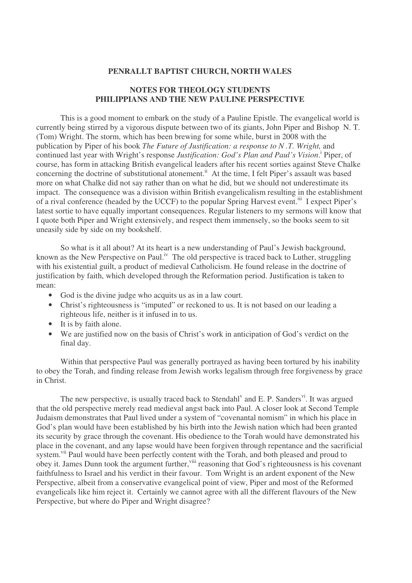## **PENRALLT BAPTIST CHURCH, NORTH WALES**

## **NOTES FOR THEOLOGY STUDENTS PHILIPPIANS AND THE NEW PAULINE PERSPECTIVE**

This is a good moment to embark on the study of a Pauline Epistle. The evangelical world is currently being stirred by a vigorous dispute between two of its giants, John Piper and Bishop N. T. (Tom) Wright. The storm, which has been brewing for some while, burst in 2008 with the publication by Piper of his book *The Future of Justification: a response to N .T. Wright,* and continued last year with Wright's response *Justification: God's Plan and Paul's Vision*. i Piper, of course, has form in attacking British evangelical leaders after his recent sorties against Steve Chalke concerning the doctrine of substitutional atonement.<sup>ii</sup> At the time, I felt Piper's assault was based more on what Chalke did not say rather than on what he did, but we should not underestimate its impact. The consequence was a division within British evangelicalism resulting in the establishment of a rival conference (headed by the UCCF) to the popular Spring Harvest event.<sup>iii</sup> I expect Piper's latest sortie to have equally important consequences. Regular listeners to my sermons will know that I quote both Piper and Wright extensively, and respect them immensely, so the books seem to sit uneasily side by side on my bookshelf.

So what is it all about? At its heart is a new understanding of Paul's Jewish background, known as the New Perspective on Paul.<sup>iv</sup> The old perspective is traced back to Luther, struggling with his existential guilt, a product of medieval Catholicism. He found release in the doctrine of justification by faith, which developed through the Reformation period. Justification is taken to mean:

- God is the divine judge who acquits us as in a law court.
- Christ's righteousness is "imputed" or reckoned to us. It is not based on our leading a righteous life, neither is it infused in to us.
- It is by faith alone.
- We are justified now on the basis of Christ's work in anticipation of God's verdict on the final day.

Within that perspective Paul was generally portrayed as having been tortured by his inability to obey the Torah, and finding release from Jewish works legalism through free forgiveness by grace in Christ.

The new perspective, is usually traced back to Stendahl<sup>v</sup> and E. P. Sanders<sup>vi</sup>. It was argued that the old perspective merely read medieval angst back into Paul. A closer look at Second Temple Judaism demonstrates that Paul lived under a system of "covenantal nomism" in which his place in God's plan would have been established by his birth into the Jewish nation which had been granted its security by grace through the covenant. His obedience to the Torah would have demonstrated his place in the covenant, and any lapse would have been forgiven through repentance and the sacrificial system.<sup>vii</sup> Paul would have been perfectly content with the Torah, and both pleased and proud to obey it. James Dunn took the argument further, viii reasoning that God's righteousness is his covenant faithfulness to Israel and his verdict in their favour. Tom Wright is an ardent exponent of the New Perspective, albeit from a conservative evangelical point of view, Piper and most of the Reformed evangelicals like him reject it. Certainly we cannot agree with all the different flavours of the New Perspective, but where do Piper and Wright disagree?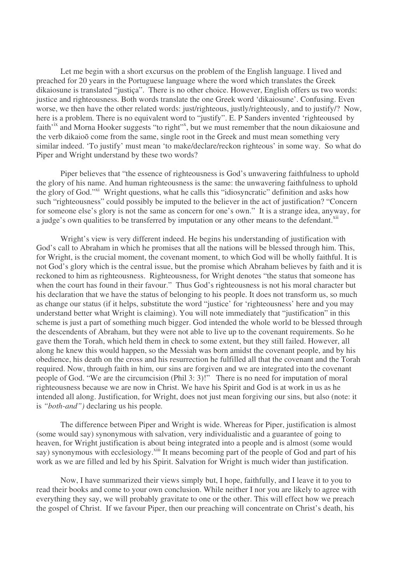Let me begin with a short excursus on the problem of the English language. I lived and preached for 20 years in the Portuguese language where the word which translates the Greek dikaiosune is translated "justiça". There is no other choice. However, English offers us two words: justice and righteousness. Both words translate the one Greek word 'dikaiosune'. Confusing. Even worse, we then have the other related words: just/righteous, justly/righteously, and to justify/? Now, here is a problem. There is no equivalent word to "justify". E. P Sanders invented 'righteoused by faith'<sup>ix</sup> and Morna Hooker suggests "to right"<sup>x</sup>, but we must remember that the noun dikaiosune and the verb dikaioo come from the same, single root in the Greek and must mean something very similar indeed. 'To justify' must mean 'to make/declare/reckon righteous' in some way. So what do Piper and Wright understand by these two words?

Piper believes that "the essence of righteousness is God's unwavering faithfulness to uphold the glory of his name. And human righteousness is the same: the unwavering faithfulness to uphold the glory of God."<sup>xi</sup> Wright questions, what he calls this "idiosyncratic" definition and asks how such "righteousness" could possibly be imputed to the believer in the act of justification? "Concern for someone else's glory is not the same as concern for one's own." It is a strange idea, anyway, for a judge's own qualities to be transferred by imputation or any other means to the defendant.<sup>xii</sup>

Wright's view is very different indeed. He begins his understanding of justification with God's call to Abraham in which he promises that all the nations will be blessed through him. This, for Wright, is the crucial moment, the covenant moment, to which God will be wholly faithful. It is not God's glory which is the central issue, but the promise which Abraham believes by faith and it is reckoned to him as righteousness. Righteousness, for Wright denotes "the status that someone has when the court has found in their favour." Thus God's righteousness is not his moral character but his declaration that we have the status of belonging to his people. It does not transform us, so much as change our status (if it helps, substitute the word "justice' for 'righteousness' here and you may understand better what Wright is claiming). You will note immediately that "justification" in this scheme is just a part of something much bigger. God intended the whole world to be blessed through the descendents of Abraham, but they were not able to live up to the covenant requirements. So he gave them the Torah, which held them in check to some extent, but they still failed. However, all along he knew this would happen, so the Messiah was born amidst the covenant people, and by his obedience, his death on the cross and his resurrection he fulfilled all that the covenant and the Torah required. Now, through faith in him, our sins are forgiven and we are integrated into the covenant people of God. "We are the circumcision (Phil 3: 3)!" There is no need for imputation of moral righteousness because we are now in Christ. We have his Spirit and God is at work in us as he intended all along. Justification, for Wright, does not just mean forgiving our sins, but also (note: it is *"both-and")* declaring us his people*.*

The difference between Piper and Wright is wide. Whereas for Piper, justification is almost (some would say) synonymous with salvation, very individualistic and a guarantee of going to heaven, for Wright justification is about being integrated into a people and is almost (some would say) synonymous with ecclesiology.<sup>xiii</sup> It means becoming part of the people of God and part of his work as we are filled and led by his Spirit. Salvation for Wright is much wider than justification.

Now, I have summarized their views simply but, I hope, faithfully, and I leave it to you to read their books and come to your own conclusion. While neither I nor you are likely to agree with everything they say, we will probably gravitate to one or the other. This will effect how we preach the gospel of Christ. If we favour Piper, then our preaching will concentrate on Christ's death, his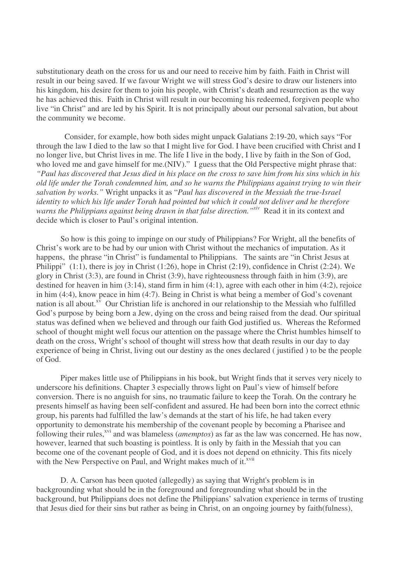substitutionary death on the cross for us and our need to receive him by faith. Faith in Christ will result in our being saved. If we favour Wright we will stress God's desire to draw our listeners into his kingdom, his desire for them to join his people, with Christ's death and resurrection as the way he has achieved this. Faith in Christ will result in our becoming his redeemed, forgiven people who live "in Christ" and are led by his Spirit. It is not principally about our personal salvation, but about the community we become.

Consider, for example, how both sides might unpack Galatians 2:19-20, which says "For through the law I died to the law so that I might live for God. I have been crucified with Christ and I no longer live, but Christ lives in me. The life I live in the body, I live by faith in the Son of God, who loved me and gave himself for me. (NIV)." I guess that the Old Perspective might phrase that: "Paul has discovered that Jesus died in his place on the cross to save him from his sins which in his old life under the Torah condemned him, and so he warns the Philippians against trying to win their *salvation by works."* Wright unpacks it as "*Paul has discovered in the Messiah the true-Israel identity to which his life under Torah had pointed but which it could not deliver and he therefore warns the Philippians against being drawn in that false direction." xiv* Read it in its context and decide which is closer to Paul's original intention.

So how is this going to impinge on our study of Philippians? For Wright, all the benefits of Christ's work are to be had by our union with Christ without the mechanics of imputation. As it happens, the phrase "in Christ" is fundamental to Philippians. The saints are "in Christ Jesus at Philippi" (1:1), there is joy in Christ (1:26), hope in Christ (2:19), confidence in Christ (2:24). We glory in Christ (3:3), are found in Christ (3:9), have righteousness through faith in him (3:9), are destined for heaven in him  $(3:14)$ , stand firm in him  $(4:1)$ , agree with each other in him  $(4:2)$ , rejoice in him (4:4), know peace in him (4:7). Being in Christ is what being a member of God's covenant nation is all about. $x^{\tilde{v}}$  Our Christian life is anchored in our relationship to the Messiah who fulfilled God's purpose by being born a Jew, dying on the cross and being raised from the dead. Our spiritual status was defined when we believed and through our faith God justified us. Whereas the Reformed school of thought might well focus our attention on the passage where the Christ humbles himself to death on the cross, Wright's school of thought will stress how that death results in our day to day experience of being in Christ, living out our destiny as the ones declared ( justified ) to be the people of God.

Piper makes little use of Philippians in his book, but Wright finds that it serves very nicely to underscore his definitions. Chapter 3 especially throws light on Paul's view of himself before conversion. There is no anguish for sins, no traumatic failure to keep the Torah. On the contrary he presents himself as having been self-confident and assured. He had been born into the correct ethnic group, his parents had fulfilled the law's demands at the start of his life, he had taken every opportunity to demonstrate his membership of the covenant people by becoming a Pharisee and following their rules,<sup>xvi</sup> and was blameless (*amemptos*) as far as the law was concerned. He has now, however, learned that such boasting is pointless. It is only by faith in the Messiah that you can become one of the covenant people of God, and it is does not depend on ethnicity. This fits nicely with the New Perspective on Paul, and Wright makes much of it.<sup>xvii</sup>

D. A. Carson has been quoted (allegedly) as saying that Wright's problem is in backgrounding what should be in the foreground and foregrounding what should be in the background, but Philippians does not define the Philippians' salvation experience in terms of trusting that Jesus died for their sins but rather as being in Christ, on an ongoing journey by faith(fulness),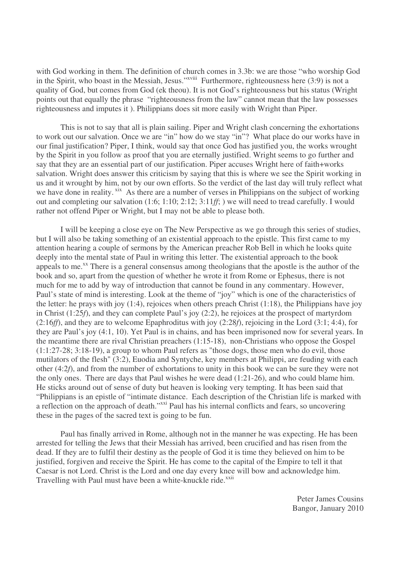with God working in them. The definition of church comes in 3.3b: we are those "who worship God in the Spirit, who boast in the Messiah, Jesus."<sup>xviii</sup> Furthermore, righteousness here (3:9) is not a quality of God, but comes from God (ek theou). It is not God's righteousness but his status (Wright points out that equally the phrase "righteousness from the law" cannot mean that the law possesses righteousness and imputes it ). Philippians does sit more easily with Wright than Piper.

This is not to say that all is plain sailing. Piper and Wright clash concerning the exhortations to work out our salvation. Once we are "in" how do we stay "in"? What place do our works have in our final justification? Piper, I think, would say that once God has justified you, the works wrought by the Spirit in you follow as proof that you are eternally justified. Wright seems to go further and say that they are an essential part of our justification. Piper accuses Wright here of faith+works salvation. Wright does answer this criticism by saying that this is where we see the Spirit working in us and it wrought by him, not by our own efforts. So the verdict of the last day will truly reflect what we have done in reality. xix As there are a number of verses in Philippians on the subject of working out and completing our salvation (1:6; 1:10; 2:12; 3:11*ff*; ) we will need to tread carefully. I would rather not offend Piper or Wright, but I may not be able to please both.

I will be keeping a close eye on The New Perspective as we go through this series of studies, but I will also be taking something of an existential approach to the epistle. This first came to my attention hearing a couple of sermons by the American preacher Rob Bell in which he looks quite deeply into the mental state of Paul in writing this letter. The existential approach to the book appeals to me.<sup>xx</sup> There is a general consensus among theologians that the apostle is the author of the book and so, apart from the question of whether he wrote it from Rome or Ephesus, there is not much for me to add by way of introduction that cannot be found in any commentary. However, Paul's state of mind is interesting. Look at the theme of "joy" which is one of the characteristics of the letter: he prays with joy  $(1:4)$ , rejoices when others preach Christ  $(1:18)$ , the Philippians have joy in Christ (1:25*f*), and they can complete Paul's joy (2:2), he rejoices at the prospect of martyrdom (2:16*ff*), and they are to welcome Epaphroditus with joy (2:28*f*), rejoicing in the Lord (3:1; 4:4), for they are Paul's joy (4:1, 10). Yet Paul is in chains, and has been imprisoned now for several years. In the meantime there are rival Christian preachers (1:15-18), non-Christians who oppose the Gospel (1:1:27-28; 3:18-19), a group to whom Paul refers as "those dogs, those men who do evil, those mutilators of the flesh" (3:2), Euodia and Syntyche, key members at Philippi, are feuding with each other (4:2*f*), and from the number of exhortations to unity in this book we can be sure they were not the only ones. There are days that Paul wishes he were dead (1:21-26), and who could blame him. He sticks around out of sense of duty but heaven is looking very tempting. It has been said that "Philippians is an epistle of "intimate distance. Each description of the Christian life is marked with a reflection on the approach of death."<sup>xxi</sup> Paul has his internal conflicts and fears, so uncovering these in the pages of the sacred text is going to be fun.

Paul has finally arrived in Rome, although not in the manner he was expecting. He has been arrested for telling the Jews that their Messiah has arrived, been crucified and has risen from the dead. If they are to fulfil their destiny as the people of God it is time they believed on him to be justified, forgiven and receive the Spirit. He has come to the capital of the Empire to tell it that Caesar is not Lord. Christ is the Lord and one day every knee will bow and acknowledge him. Travelling with Paul must have been a white-knuckle ride.<sup>xxii</sup>

> Peter James Cousins Bangor, January 2010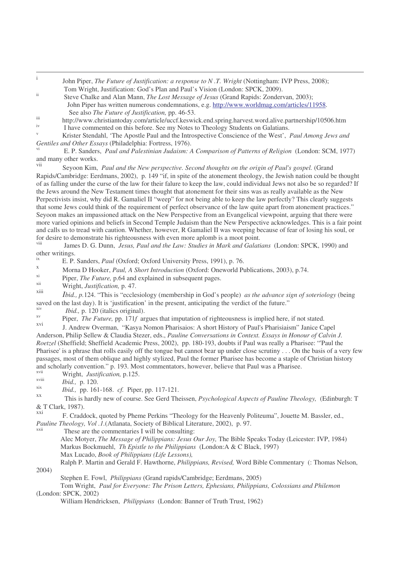| John Piper, The Future of Justification: a response to N.T. Wright (Nottingham: IVP Press, 2008); |
|---------------------------------------------------------------------------------------------------|
| Tom Wright, Justification: God's Plan and Paul's Vision (London: SPCK, 2009).                     |

- ii Steve Chalke and Alan Mann, *The Lost Message of Jesus* (Grand Rapids: Zondervan, 2003); John Piper has written numerous condemnations, e.g. http://www.worldmag.com/articles/11958. See also *The Future of Justification,* pp. 46-53.
- iii http://www.christiantoday.com/article/uccf.keswick.end.spring.harvest.word.alive.partnership/10506.htm iv
- I have commented on this before. See my Notes to Theology Students on Galatians.

<sup>v</sup> Krister Stendahl, 'The Apostle Paul and the Introspective Conscience of the West', *Paul Among Jews and Gentiles and Other Essays* (Philadelphia: Fortress, 1976).

vi E. P. Sanders, *Paul and Palestinian Judaism: A Comparison of Patterns of Religion* (London: SCM, 1977) and many other works.

vii Seyoon Kim, *Paul and the New perspective. Second thoughts on the origin of Paul's gospel.* (Grand Rapids/Cambridge: Eerdmans, 2002), p. 149 "if, in spite of the atonement theology, the Jewish nation could be thought of as falling under the curse of the law for their falure to keep the law, could individual Jews not also be so regarded? If the Jews around the New Testament times thought that atonement for their sins was as really available as the New Perpectivists insist, why did R. Gamaliel II "weep" for not being able to keep the law perfectly? This clearly suggests that some Jews could think of the requirement of perfect observance of the law quite apart from atonement practices." Seyoon makes an impassioned attack on the New Perspective from an Evangelical viewpoint, arguing that there were more varied opinions and beliefs in Second Temple Judaism than the New Perspective acknowledges. This is a fair point and calls us to tread with caution. Whether, however, R Gamaliel II was weeping because of fear of losing his soul, or for desire to demonstrate his righteousness with even more aplomb is a moot point.

viii James D. G. Dunn, *Jesus, Paul and the Law: Studies in Mark and Galatians* (London: SPCK, 1990) and other writings.

<sup>ix</sup> E. P. Sanders, *Paul* (Oxford; Oxford University Press, 1991), p. 76.

<sup>x</sup> Morna D Hooker, *Paul, A Short Introduction* (Oxford: Oneworld Publications, 2003), p.74.

xi Piper, *The Future*, p.64 and explained in subsequent pages.

xii Wright, *Justification,* p. 47.

xiii *Ibid., p.*124. "This is "ecclesiology (membership in God's people) *as the advance sign of soteriology* (being saved on the last day). It is 'justification' in the present, anticipating the verdict of the future." xiv

*Ibid.,* p. 120 (italics original). xv

Piper, *The Future,* pp. 171*f* argues that imputation of righteousness is implied here, if not stated. xvi

J. Andrew Overman, "Kasya Nomon Pharisaios: A short History of Paul's Pharisiaism" Janice Capel Anderson, Philip Sellew & Claudia Stezer, eds., *Pauline Conversations in Context. Essays in Honour of Calvin J. Roetzel* (Sheffield; Sheffield Academic Press, 2002), pp. 180-193, doubts if Paul was really a Pharisee: "'Paul the Pharisee' is a phrase that rolls easily off the tongue but cannot bear up under close scrutiny . . . On the basis of a very few passages, most of them oblique and highly stylized, Paul the former Pharisee has become a staple of Christian history and scholarly convention." p. 193. Most commentators, however, believe that Paul was a Pharisee.

xvii Wright, *Justification,* p.125.

xviii *Ibid.,* p. 120.

xix *Ibid.,* pp. 161-168. *cf.* Piper, pp. 117-121.

xx This is hardly new of course. See Gerd Theissen, *Psychological Aspects of Pauline Theology,* (Edinburgh: T & T Clark, 1987).

xxi F. Craddock, quoted by Pheme Perkins "Theology for the Heavenly Politeuma", Jouette M. Bassler, ed., *Pauline Theology, Vol. 1.* (Atlanata, Society of Biblical Literature, 2002), p. 97.<br>
These are the commentaries I will be consulting.

These are the commentaries I will be consulting:

Alec Motyer, *The Message of Philippians: Jesus Our Joy,* The Bible Speaks Today (Leicester: IVP, 1984) Markus Bockmuehl, *Th Epistle to the Philippians* (London:A & C Black, 1997) Max Lucado, *Book of Philippians (Life Lessons),*

Ralph P. Martin and Gerald F. Hawthorne, *Philippians, Revised,* Word Bible Commentary (: Thomas Nelson,

2004)

Stephen E. Fowl, *Philippians* (Grand rapids/Cambridge; Eerdmans, 2005) Tom Wright, *Paul for Everyone: The Prison Letters, Ephesians, Philippians, Colossians and Philemon*

(London: SPCK, 2002)

William Hendricksen, *Philippians* (London: Banner of Truth Trust, 1962)